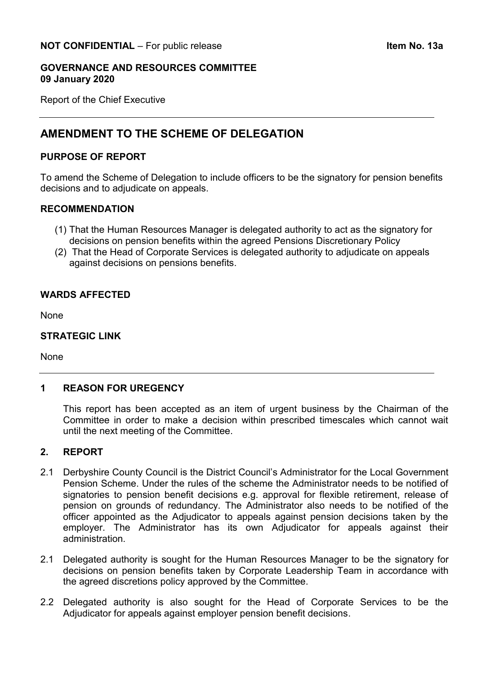#### **GOVERNANCE AND RESOURCES COMMITTEE 09 January 2020**

Report of the Chief Executive

# **AMENDMENT TO THE SCHEME OF DELEGATION**

## **PURPOSE OF REPORT**

To amend the Scheme of Delegation to include officers to be the signatory for pension benefits decisions and to adjudicate on appeals.

## **RECOMMENDATION**

- (1) That the Human Resources Manager is delegated authority to act as the signatory for decisions on pension benefits within the agreed Pensions Discretionary Policy
- (2) That the Head of Corporate Services is delegated authority to adjudicate on appeals against decisions on pensions benefits.

#### **WARDS AFFECTED**

None

#### **STRATEGIC LINK**

None

## **1 REASON FOR UREGENCY**

This report has been accepted as an item of urgent business by the Chairman of the Committee in order to make a decision within prescribed timescales which cannot wait until the next meeting of the Committee.

## **2. REPORT**

- 2.1 Derbyshire County Council is the District Council's Administrator for the Local Government Pension Scheme. Under the rules of the scheme the Administrator needs to be notified of signatories to pension benefit decisions e.g. approval for flexible retirement, release of pension on grounds of redundancy. The Administrator also needs to be notified of the officer appointed as the Adjudicator to appeals against pension decisions taken by the employer. The Administrator has its own Adjudicator for appeals against their administration.
- 2.1 Delegated authority is sought for the Human Resources Manager to be the signatory for decisions on pension benefits taken by Corporate Leadership Team in accordance with the agreed discretions policy approved by the Committee.
- 2.2 Delegated authority is also sought for the Head of Corporate Services to be the Adjudicator for appeals against employer pension benefit decisions.